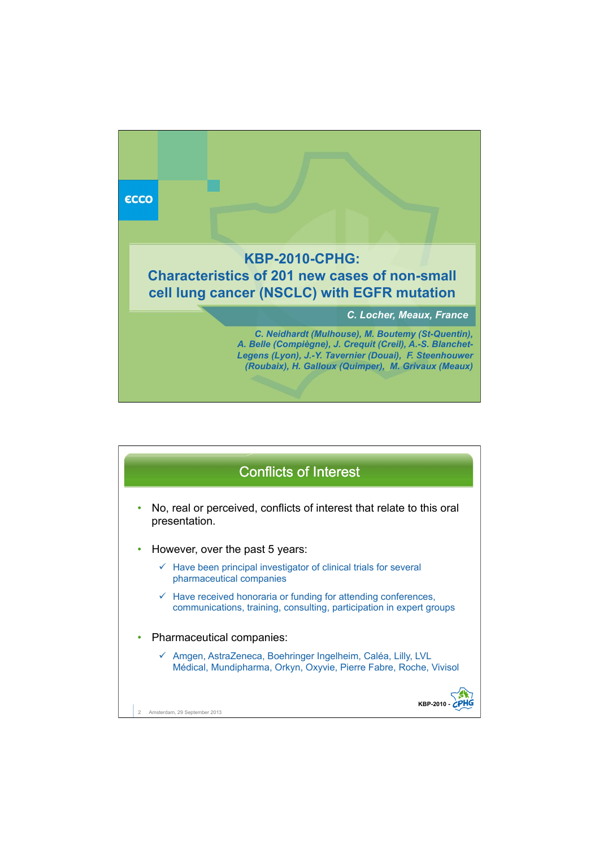

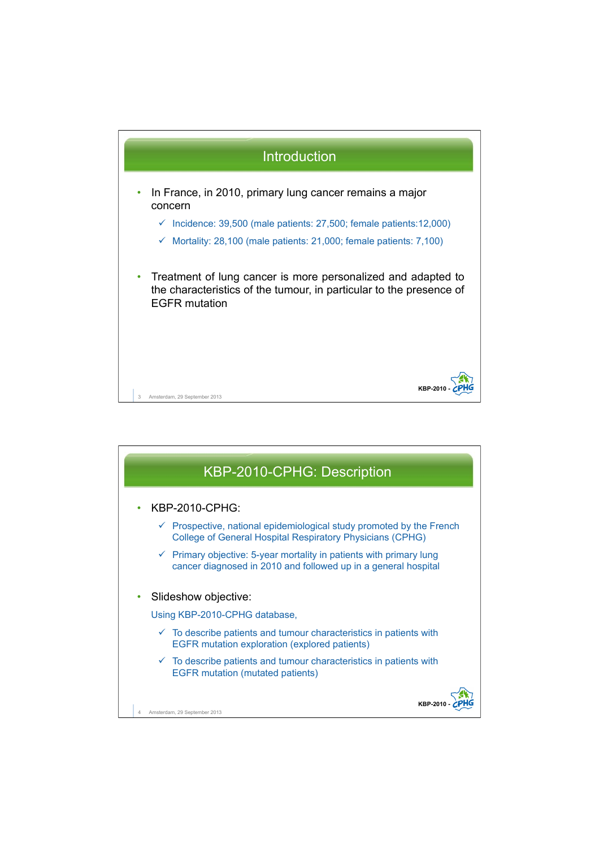

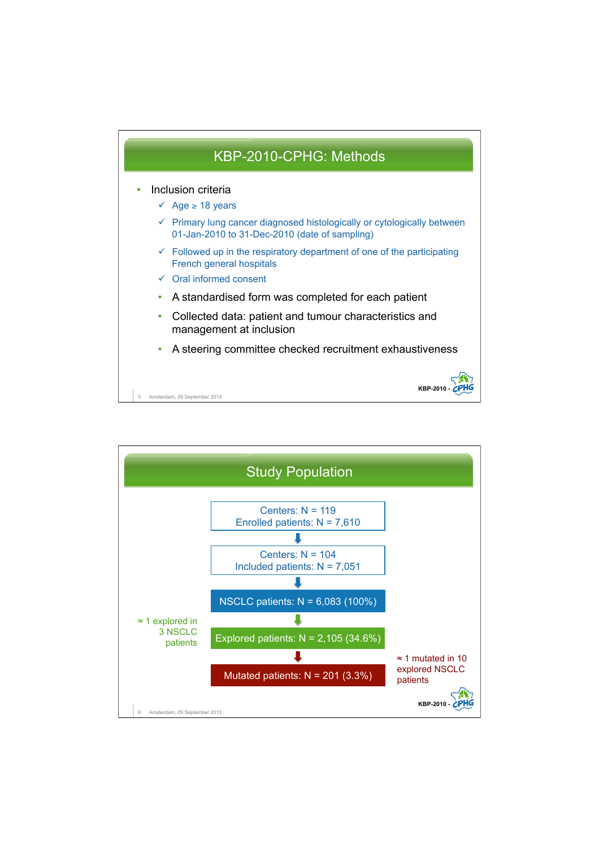

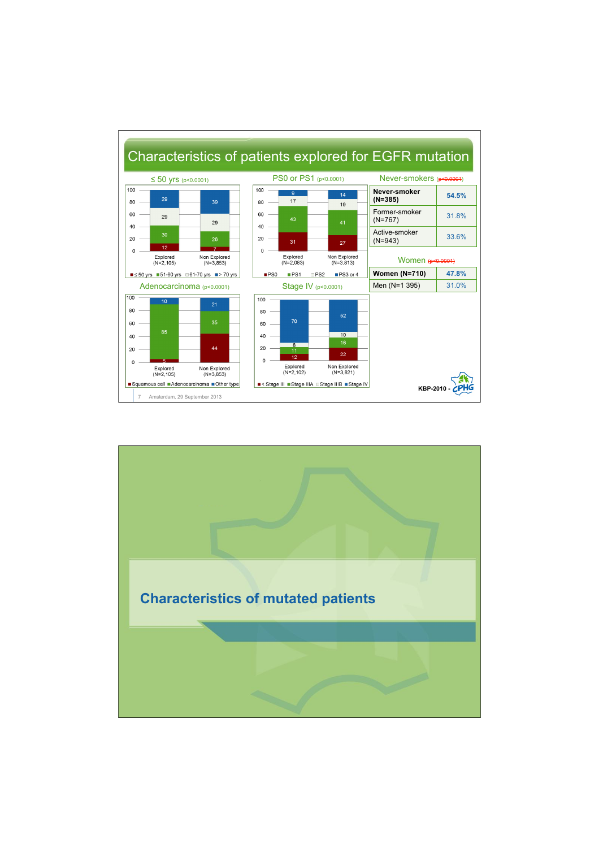

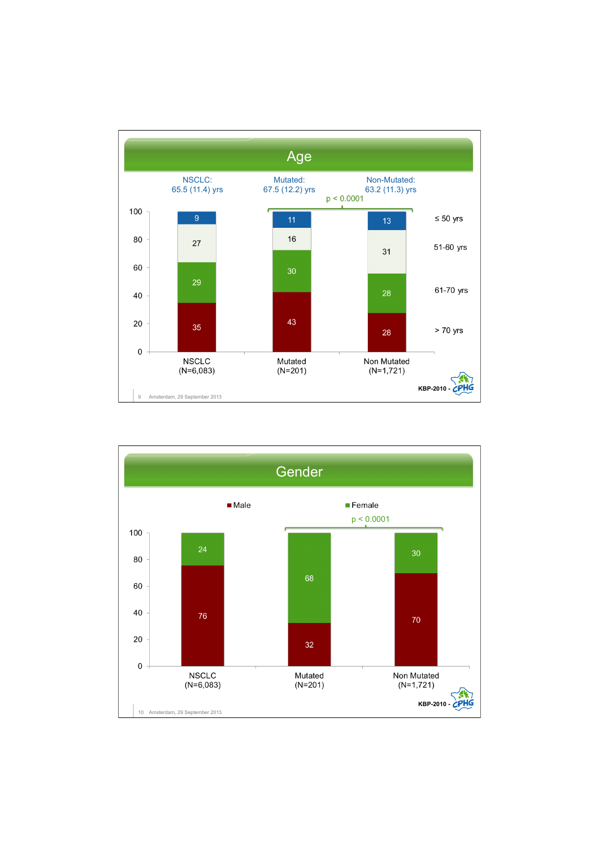

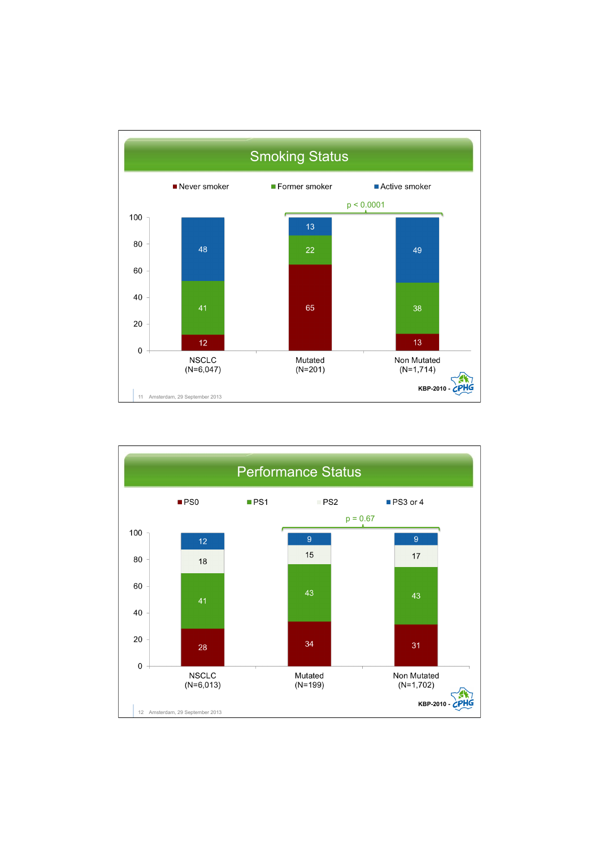

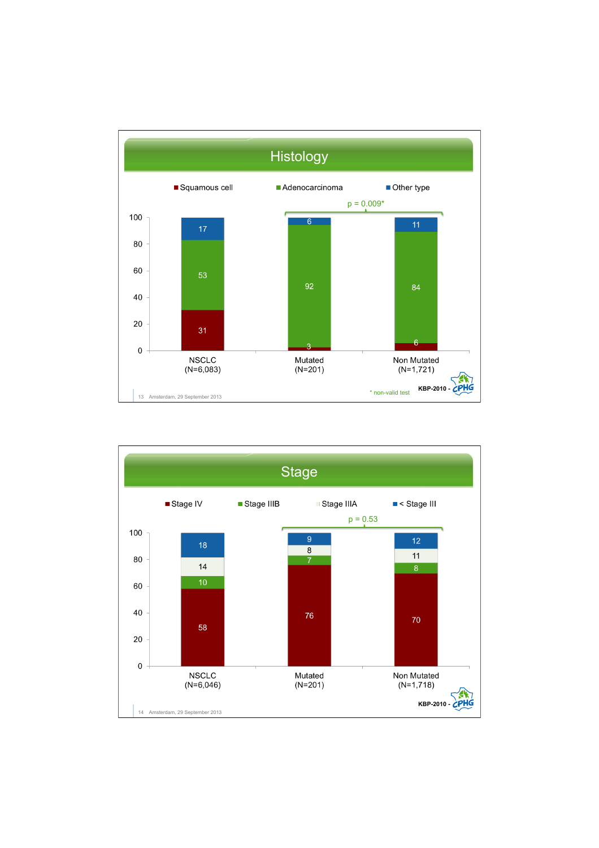

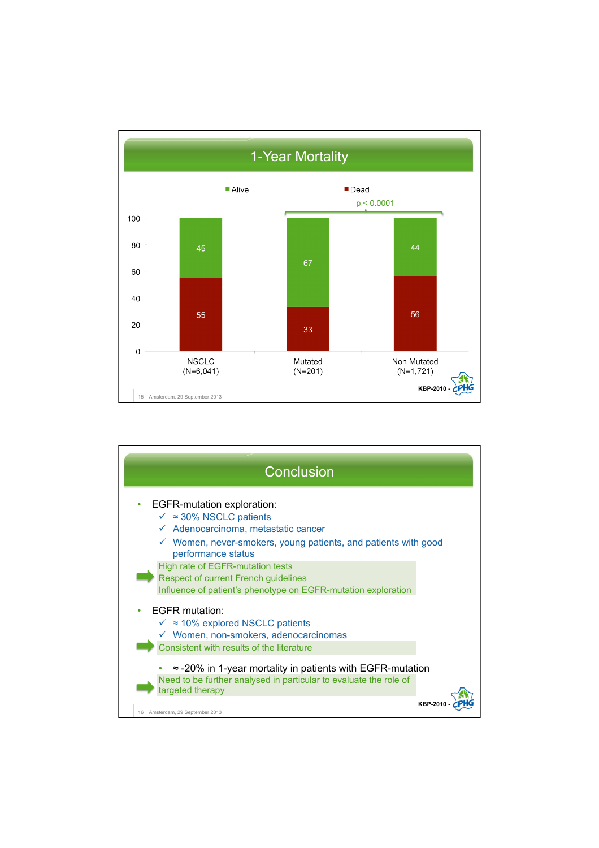